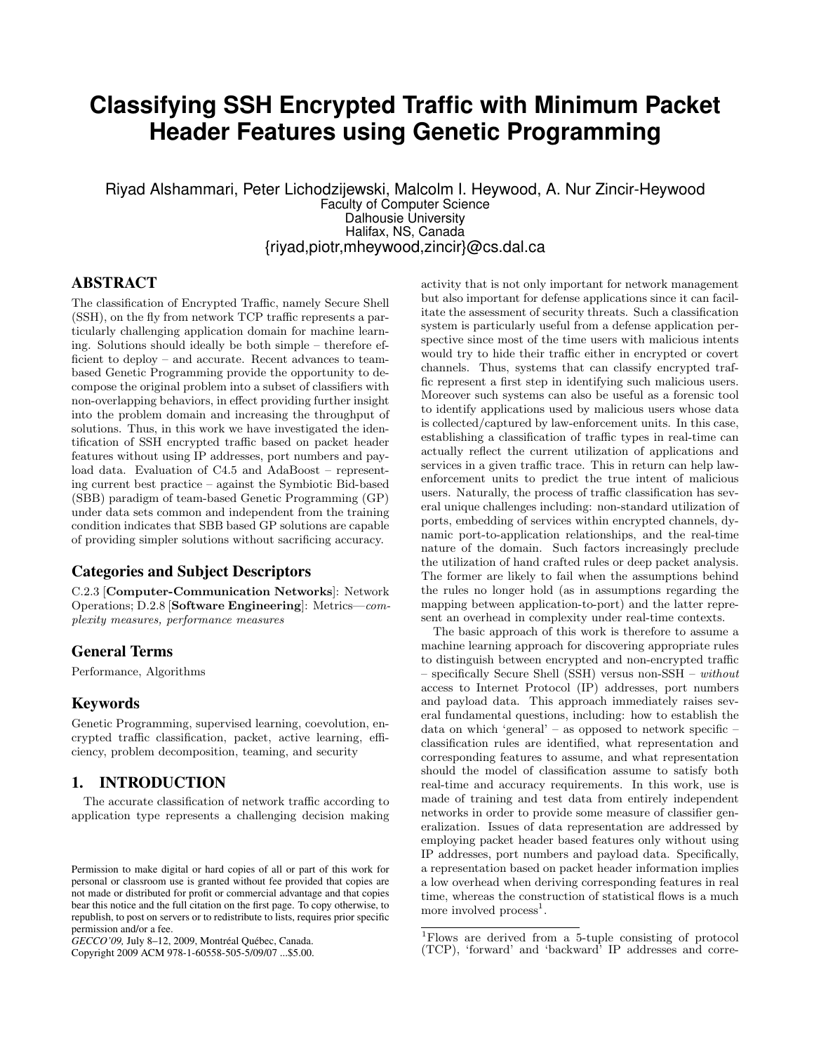# **Classifying SSH Encrypted Traffic with Minimum Packet Header Features using Genetic Programming**

Riyad Alshammari, Peter Lichodzijewski, Malcolm I. Heywood, A. Nur Zincir-Heywood Faculty of Computer Science Dalhousie University Halifax, NS, Canada {riyad,piotr,mheywood,zincir}@cs.dal.ca

## ABSTRACT

The classification of Encrypted Traffic, namely Secure Shell (SSH), on the fly from network TCP traffic represents a particularly challenging application domain for machine learning. Solutions should ideally be both simple – therefore efficient to deploy – and accurate. Recent advances to teambased Genetic Programming provide the opportunity to decompose the original problem into a subset of classifiers with non-overlapping behaviors, in effect providing further insight into the problem domain and increasing the throughput of solutions. Thus, in this work we have investigated the identification of SSH encrypted traffic based on packet header features without using IP addresses, port numbers and payload data. Evaluation of C4.5 and AdaBoost – representing current best practice – against the Symbiotic Bid-based (SBB) paradigm of team-based Genetic Programming (GP) under data sets common and independent from the training condition indicates that SBB based GP solutions are capable of providing simpler solutions without sacrificing accuracy.

# Categories and Subject Descriptors

C.2.3 [Computer-Communication Networks]: Network Operations; D.2.8 [Software Engineering]: Metrics—complexity measures, performance measures

#### General Terms

Performance, Algorithms

#### Keywords

Genetic Programming, supervised learning, coevolution, encrypted traffic classification, packet, active learning, efficiency, problem decomposition, teaming, and security

# 1. INTRODUCTION

The accurate classification of network traffic according to application type represents a challenging decision making

Copyright 2009 ACM 978-1-60558-505-5/09/07 ...\$5.00.

activity that is not only important for network management but also important for defense applications since it can facilitate the assessment of security threats. Such a classification system is particularly useful from a defense application perspective since most of the time users with malicious intents would try to hide their traffic either in encrypted or covert channels. Thus, systems that can classify encrypted traffic represent a first step in identifying such malicious users. Moreover such systems can also be useful as a forensic tool to identify applications used by malicious users whose data is collected/captured by law-enforcement units. In this case, establishing a classification of traffic types in real-time can actually reflect the current utilization of applications and services in a given traffic trace. This in return can help lawenforcement units to predict the true intent of malicious users. Naturally, the process of traffic classification has several unique challenges including: non-standard utilization of ports, embedding of services within encrypted channels, dynamic port-to-application relationships, and the real-time nature of the domain. Such factors increasingly preclude the utilization of hand crafted rules or deep packet analysis. The former are likely to fail when the assumptions behind the rules no longer hold (as in assumptions regarding the mapping between application-to-port) and the latter represent an overhead in complexity under real-time contexts.

The basic approach of this work is therefore to assume a machine learning approach for discovering appropriate rules to distinguish between encrypted and non-encrypted traffic – specifically Secure Shell (SSH) versus non-SSH – without access to Internet Protocol (IP) addresses, port numbers and payload data. This approach immediately raises several fundamental questions, including: how to establish the data on which 'general' – as opposed to network specific – classification rules are identified, what representation and corresponding features to assume, and what representation should the model of classification assume to satisfy both real-time and accuracy requirements. In this work, use is made of training and test data from entirely independent networks in order to provide some measure of classifier generalization. Issues of data representation are addressed by employing packet header based features only without using IP addresses, port numbers and payload data. Specifically, a representation based on packet header information implies a low overhead when deriving corresponding features in real time, whereas the construction of statistical flows is a much more involved process<sup>1</sup>.

Permission to make digital or hard copies of all or part of this work for personal or classroom use is granted without fee provided that copies are not made or distributed for profit or commercial advantage and that copies bear this notice and the full citation on the first page. To copy otherwise, to republish, to post on servers or to redistribute to lists, requires prior specific permission and/or a fee.

*GECCO'09,* July 8–12, 2009, Montréal Québec, Canada.

<sup>1</sup>Flows are derived from a 5-tuple consisting of protocol (TCP), 'forward' and 'backward' IP addresses and corre-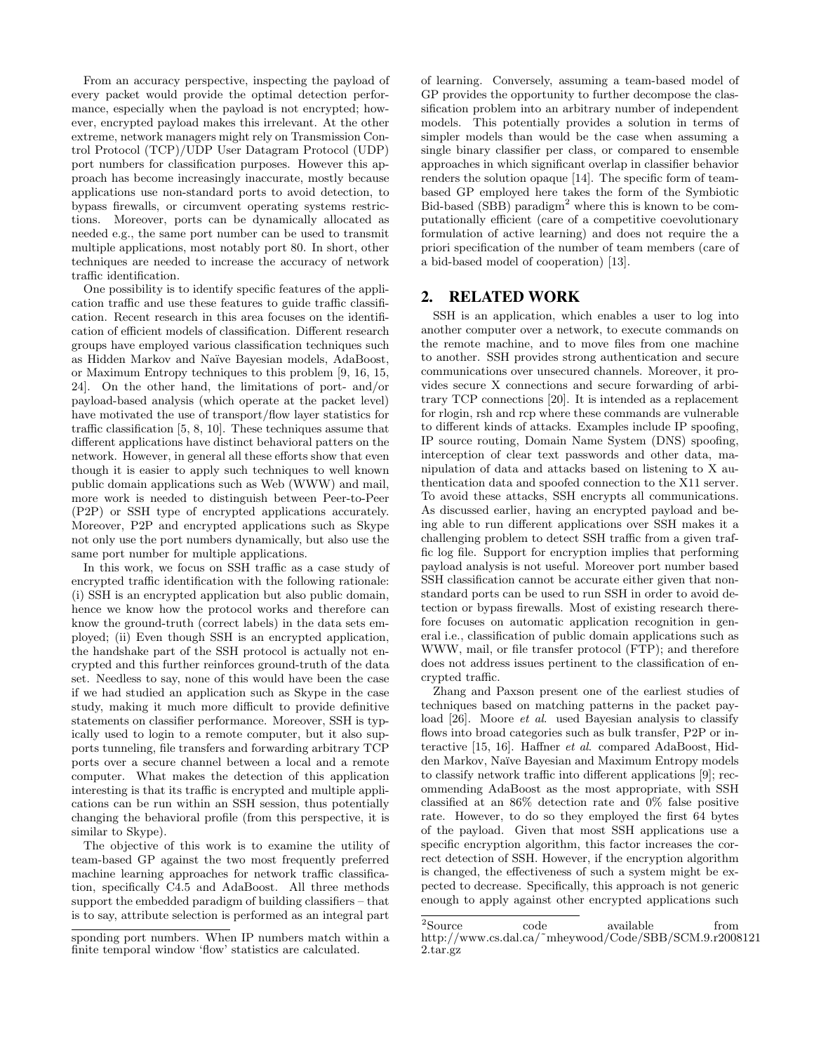From an accuracy perspective, inspecting the payload of every packet would provide the optimal detection performance, especially when the payload is not encrypted; however, encrypted payload makes this irrelevant. At the other extreme, network managers might rely on Transmission Control Protocol (TCP)/UDP User Datagram Protocol (UDP) port numbers for classification purposes. However this approach has become increasingly inaccurate, mostly because applications use non-standard ports to avoid detection, to bypass firewalls, or circumvent operating systems restrictions. Moreover, ports can be dynamically allocated as needed e.g., the same port number can be used to transmit multiple applications, most notably port 80. In short, other techniques are needed to increase the accuracy of network traffic identification.

One possibility is to identify specific features of the application traffic and use these features to guide traffic classification. Recent research in this area focuses on the identification of efficient models of classification. Different research groups have employed various classification techniques such as Hidden Markov and Na¨ıve Bayesian models, AdaBoost, or Maximum Entropy techniques to this problem [9, 16, 15, 24]. On the other hand, the limitations of port- and/or payload-based analysis (which operate at the packet level) have motivated the use of transport/flow layer statistics for traffic classification [5, 8, 10]. These techniques assume that different applications have distinct behavioral patters on the network. However, in general all these efforts show that even though it is easier to apply such techniques to well known public domain applications such as Web (WWW) and mail, more work is needed to distinguish between Peer-to-Peer (P2P) or SSH type of encrypted applications accurately. Moreover, P2P and encrypted applications such as Skype not only use the port numbers dynamically, but also use the same port number for multiple applications.

In this work, we focus on SSH traffic as a case study of encrypted traffic identification with the following rationale: (i) SSH is an encrypted application but also public domain, hence we know how the protocol works and therefore can know the ground-truth (correct labels) in the data sets employed; (ii) Even though SSH is an encrypted application, the handshake part of the SSH protocol is actually not encrypted and this further reinforces ground-truth of the data set. Needless to say, none of this would have been the case if we had studied an application such as Skype in the case study, making it much more difficult to provide definitive statements on classifier performance. Moreover, SSH is typically used to login to a remote computer, but it also supports tunneling, file transfers and forwarding arbitrary TCP ports over a secure channel between a local and a remote computer. What makes the detection of this application interesting is that its traffic is encrypted and multiple applications can be run within an SSH session, thus potentially changing the behavioral profile (from this perspective, it is similar to Skype).

The objective of this work is to examine the utility of team-based GP against the two most frequently preferred machine learning approaches for network traffic classification, specifically C4.5 and AdaBoost. All three methods support the embedded paradigm of building classifiers – that is to say, attribute selection is performed as an integral part

of learning. Conversely, assuming a team-based model of GP provides the opportunity to further decompose the classification problem into an arbitrary number of independent models. This potentially provides a solution in terms of simpler models than would be the case when assuming a single binary classifier per class, or compared to ensemble approaches in which significant overlap in classifier behavior renders the solution opaque [14]. The specific form of teambased GP employed here takes the form of the Symbiotic Bid-based  $(SBB)$  paradigm<sup>2</sup> where this is known to be computationally efficient (care of a competitive coevolutionary formulation of active learning) and does not require the a priori specification of the number of team members (care of a bid-based model of cooperation) [13].

#### 2. RELATED WORK

SSH is an application, which enables a user to log into another computer over a network, to execute commands on the remote machine, and to move files from one machine to another. SSH provides strong authentication and secure communications over unsecured channels. Moreover, it provides secure X connections and secure forwarding of arbitrary TCP connections [20]. It is intended as a replacement for rlogin, rsh and rcp where these commands are vulnerable to different kinds of attacks. Examples include IP spoofing, IP source routing, Domain Name System (DNS) spoofing, interception of clear text passwords and other data, manipulation of data and attacks based on listening to X authentication data and spoofed connection to the X11 server. To avoid these attacks, SSH encrypts all communications. As discussed earlier, having an encrypted payload and being able to run different applications over SSH makes it a challenging problem to detect SSH traffic from a given traffic log file. Support for encryption implies that performing payload analysis is not useful. Moreover port number based SSH classification cannot be accurate either given that nonstandard ports can be used to run SSH in order to avoid detection or bypass firewalls. Most of existing research therefore focuses on automatic application recognition in general i.e., classification of public domain applications such as WWW, mail, or file transfer protocol (FTP); and therefore does not address issues pertinent to the classification of encrypted traffic.

Zhang and Paxson present one of the earliest studies of techniques based on matching patterns in the packet payload [26]. Moore et al. used Bayesian analysis to classify flows into broad categories such as bulk transfer, P2P or interactive [15, 16]. Haffner et al. compared AdaBoost, Hidden Markov, Na¨ıve Bayesian and Maximum Entropy models to classify network traffic into different applications [9]; recommending AdaBoost as the most appropriate, with SSH classified at an 86% detection rate and 0% false positive rate. However, to do so they employed the first 64 bytes of the payload. Given that most SSH applications use a specific encryption algorithm, this factor increases the correct detection of SSH. However, if the encryption algorithm is changed, the effectiveness of such a system might be expected to decrease. Specifically, this approach is not generic enough to apply against other encrypted applications such

sponding port numbers. When IP numbers match within a finite temporal window 'flow' statistics are calculated.

<sup>&</sup>lt;sup>2</sup>Source code available from http://www.cs.dal.ca/˜mheywood/Code/SBB/SCM.9.r2008121 2.tar.gz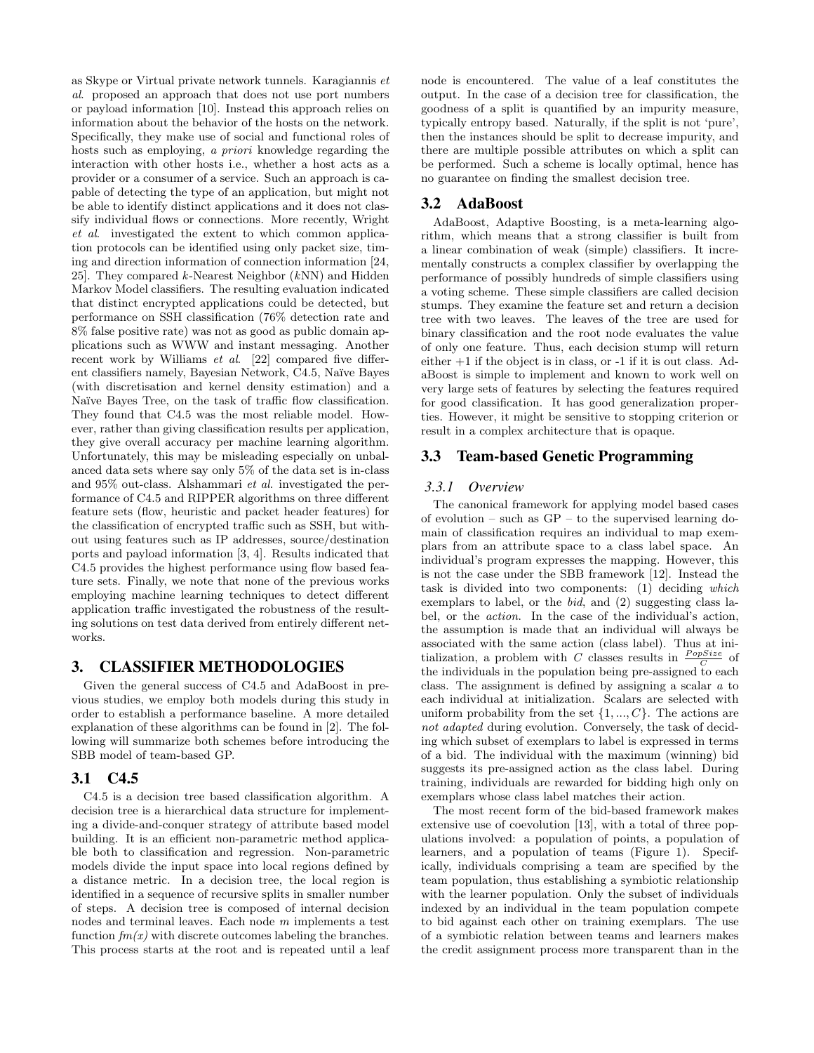as Skype or Virtual private network tunnels. Karagiannis et al. proposed an approach that does not use port numbers or payload information [10]. Instead this approach relies on information about the behavior of the hosts on the network. Specifically, they make use of social and functional roles of hosts such as employing, a priori knowledge regarding the interaction with other hosts i.e., whether a host acts as a provider or a consumer of a service. Such an approach is capable of detecting the type of an application, but might not be able to identify distinct applications and it does not classify individual flows or connections. More recently, Wright et al. investigated the extent to which common application protocols can be identified using only packet size, timing and direction information of connection information [24, 25]. They compared  $k$ -Nearest Neighbor  $(kNN)$  and Hidden Markov Model classifiers. The resulting evaluation indicated that distinct encrypted applications could be detected, but performance on SSH classification (76% detection rate and 8% false positive rate) was not as good as public domain applications such as WWW and instant messaging. Another recent work by Williams et al. [22] compared five different classifiers namely, Bayesian Network, C4.5, Naïve Bayes (with discretisation and kernel density estimation) and a Naïve Bayes Tree, on the task of traffic flow classification. They found that C4.5 was the most reliable model. However, rather than giving classification results per application, they give overall accuracy per machine learning algorithm. Unfortunately, this may be misleading especially on unbalanced data sets where say only 5% of the data set is in-class and 95% out-class. Alshammari et al. investigated the performance of C4.5 and RIPPER algorithms on three different feature sets (flow, heuristic and packet header features) for the classification of encrypted traffic such as SSH, but without using features such as IP addresses, source/destination ports and payload information [3, 4]. Results indicated that C4.5 provides the highest performance using flow based feature sets. Finally, we note that none of the previous works employing machine learning techniques to detect different application traffic investigated the robustness of the resulting solutions on test data derived from entirely different networks.

# 3. CLASSIFIER METHODOLOGIES

Given the general success of C4.5 and AdaBoost in previous studies, we employ both models during this study in order to establish a performance baseline. A more detailed explanation of these algorithms can be found in [2]. The following will summarize both schemes before introducing the SBB model of team-based GP.

# 3.1 C4.5

C4.5 is a decision tree based classification algorithm. A decision tree is a hierarchical data structure for implementing a divide-and-conquer strategy of attribute based model building. It is an efficient non-parametric method applicable both to classification and regression. Non-parametric models divide the input space into local regions defined by a distance metric. In a decision tree, the local region is identified in a sequence of recursive splits in smaller number of steps. A decision tree is composed of internal decision nodes and terminal leaves. Each node m implements a test function  $fm(x)$  with discrete outcomes labeling the branches. This process starts at the root and is repeated until a leaf node is encountered. The value of a leaf constitutes the output. In the case of a decision tree for classification, the goodness of a split is quantified by an impurity measure, typically entropy based. Naturally, if the split is not 'pure', then the instances should be split to decrease impurity, and there are multiple possible attributes on which a split can be performed. Such a scheme is locally optimal, hence has no guarantee on finding the smallest decision tree.

## 3.2 AdaBoost

AdaBoost, Adaptive Boosting, is a meta-learning algorithm, which means that a strong classifier is built from a linear combination of weak (simple) classifiers. It incrementally constructs a complex classifier by overlapping the performance of possibly hundreds of simple classifiers using a voting scheme. These simple classifiers are called decision stumps. They examine the feature set and return a decision tree with two leaves. The leaves of the tree are used for binary classification and the root node evaluates the value of only one feature. Thus, each decision stump will return either  $+1$  if the object is in class, or  $-1$  if it is out class. AdaBoost is simple to implement and known to work well on very large sets of features by selecting the features required for good classification. It has good generalization properties. However, it might be sensitive to stopping criterion or result in a complex architecture that is opaque.

## 3.3 Team-based Genetic Programming

#### *3.3.1 Overview*

The canonical framework for applying model based cases of evolution – such as GP – to the supervised learning domain of classification requires an individual to map exemplars from an attribute space to a class label space. An individual's program expresses the mapping. However, this is not the case under the SBB framework [12]. Instead the task is divided into two components: (1) deciding which exemplars to label, or the bid, and (2) suggesting class label, or the action. In the case of the individual's action, the assumption is made that an individual will always be associated with the same action (class label). Thus at initialization, a problem with C classes results in  $\frac{PopSize}{C}$  of the individuals in the population being pre-assigned to each class. The assignment is defined by assigning a scalar a to each individual at initialization. Scalars are selected with uniform probability from the set  $\{1, ..., C\}$ . The actions are not adapted during evolution. Conversely, the task of deciding which subset of exemplars to label is expressed in terms of a bid. The individual with the maximum (winning) bid suggests its pre-assigned action as the class label. During training, individuals are rewarded for bidding high only on exemplars whose class label matches their action.

The most recent form of the bid-based framework makes extensive use of coevolution [13], with a total of three populations involved: a population of points, a population of learners, and a population of teams (Figure 1). Specifically, individuals comprising a team are specified by the team population, thus establishing a symbiotic relationship with the learner population. Only the subset of individuals indexed by an individual in the team population compete to bid against each other on training exemplars. The use of a symbiotic relation between teams and learners makes the credit assignment process more transparent than in the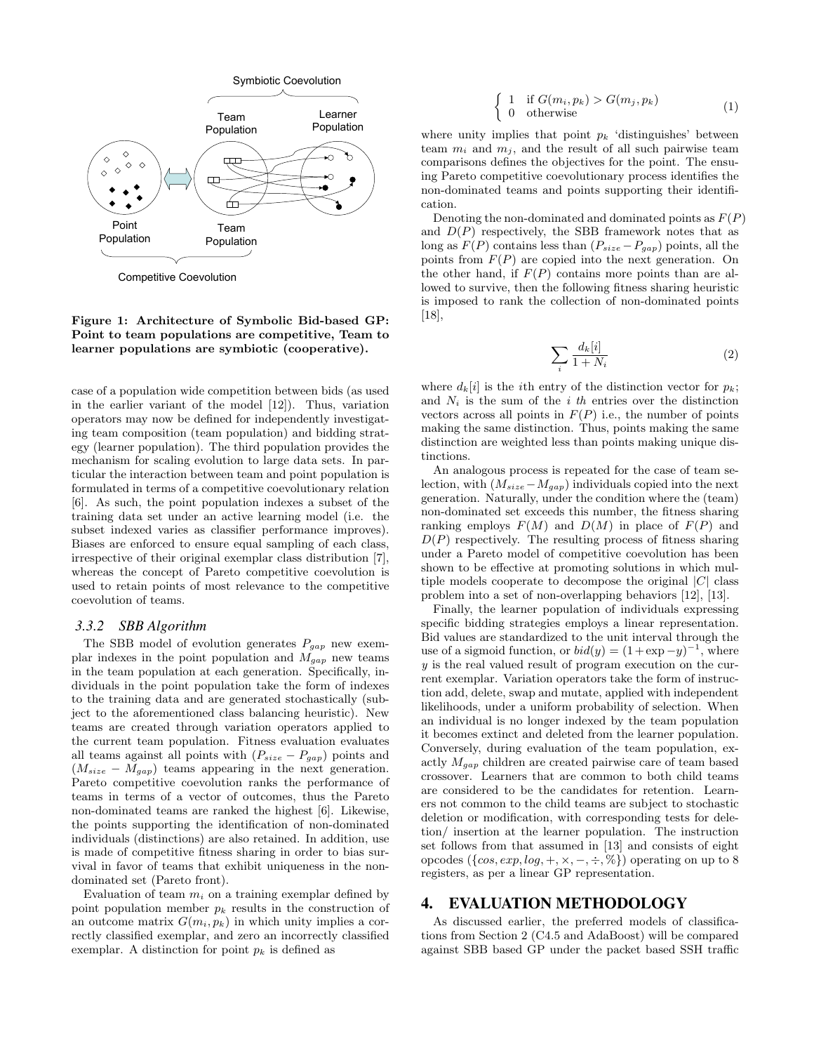

Competitive Coevolution

#### Figure 1: Architecture of Symbolic Bid-based GP: Point to team populations are competitive, Team to learner populations are symbiotic (cooperative).

case of a population wide competition between bids (as used in the earlier variant of the model [12]). Thus, variation operators may now be defined for independently investigating team composition (team population) and bidding strategy (learner population). The third population provides the mechanism for scaling evolution to large data sets. In particular the interaction between team and point population is formulated in terms of a competitive coevolutionary relation [6]. As such, the point population indexes a subset of the training data set under an active learning model (i.e. the subset indexed varies as classifier performance improves). Biases are enforced to ensure equal sampling of each class, irrespective of their original exemplar class distribution [7], whereas the concept of Pareto competitive coevolution is used to retain points of most relevance to the competitive coevolution of teams.

#### *3.3.2 SBB Algorithm*

The SBB model of evolution generates  $P_{gap}$  new exemplar indexes in the point population and  $M_{gap}$  new teams in the team population at each generation. Specifically, individuals in the point population take the form of indexes to the training data and are generated stochastically (subject to the aforementioned class balancing heuristic). New teams are created through variation operators applied to the current team population. Fitness evaluation evaluates all teams against all points with  $(P_{size} - P_{gap})$  points and  $(M_{size} - M_{gap})$  teams appearing in the next generation. Pareto competitive coevolution ranks the performance of teams in terms of a vector of outcomes, thus the Pareto non-dominated teams are ranked the highest [6]. Likewise, the points supporting the identification of non-dominated individuals (distinctions) are also retained. In addition, use is made of competitive fitness sharing in order to bias survival in favor of teams that exhibit uniqueness in the nondominated set (Pareto front).

Evaluation of team  $m_i$  on a training exemplar defined by point population member  $p_k$  results in the construction of an outcome matrix  $G(m_i, p_k)$  in which unity implies a correctly classified exemplar, and zero an incorrectly classified exemplar. A distinction for point  $p_k$  is defined as

$$
\begin{cases}\n1 & \text{if } G(m_i, p_k) > G(m_j, p_k) \\
0 & \text{otherwise}\n\end{cases} (1)
$$

where unity implies that point  $p_k$  'distinguishes' between team  $m_i$  and  $m_j$ , and the result of all such pairwise team comparisons defines the objectives for the point. The ensuing Pareto competitive coevolutionary process identifies the non-dominated teams and points supporting their identification.

Denoting the non-dominated and dominated points as  $F(P)$ and  $D(P)$  respectively, the SBB framework notes that as long as  $F(P)$  contains less than  $(P_{size} - P_{gap})$  points, all the points from  $F(P)$  are copied into the next generation. On the other hand, if  $F(P)$  contains more points than are allowed to survive, then the following fitness sharing heuristic is imposed to rank the collection of non-dominated points [18],

$$
\sum_{i} \frac{d_k[i]}{1+N_i} \tag{2}
$$

where  $d_k[i]$  is the *i*th entry of the distinction vector for  $p_k$ ; and  $N_i$  is the sum of the i th entries over the distinction vectors across all points in  $F(P)$  i.e., the number of points making the same distinction. Thus, points making the same distinction are weighted less than points making unique distinctions.

An analogous process is repeated for the case of team selection, with  $(M_{size}-M_{gap})$  individuals copied into the next generation. Naturally, under the condition where the (team) non-dominated set exceeds this number, the fitness sharing ranking employs  $F(M)$  and  $D(M)$  in place of  $F(P)$  and  $D(P)$  respectively. The resulting process of fitness sharing under a Pareto model of competitive coevolution has been shown to be effective at promoting solutions in which multiple models cooperate to decompose the original  $|C|$  class problem into a set of non-overlapping behaviors [12], [13].

Finally, the learner population of individuals expressing specific bidding strategies employs a linear representation. Bid values are standardized to the unit interval through the use of a sigmoid function, or  $bid(y) = (1 + \exp(y))^{-1}$ , where y is the real valued result of program execution on the current exemplar. Variation operators take the form of instruction add, delete, swap and mutate, applied with independent likelihoods, under a uniform probability of selection. When an individual is no longer indexed by the team population it becomes extinct and deleted from the learner population. Conversely, during evaluation of the team population, exactly  $M_{gap}$  children are created pairwise care of team based crossover. Learners that are common to both child teams are considered to be the candidates for retention. Learners not common to the child teams are subject to stochastic deletion or modification, with corresponding tests for deletion/ insertion at the learner population. The instruction set follows from that assumed in [13] and consists of eight opcodes  $({\cos, exp, log, +, \times, -, \div, \%})$  operating on up to 8 registers, as per a linear GP representation.

### 4. EVALUATION METHODOLOGY

As discussed earlier, the preferred models of classifications from Section 2 (C4.5 and AdaBoost) will be compared against SBB based GP under the packet based SSH traffic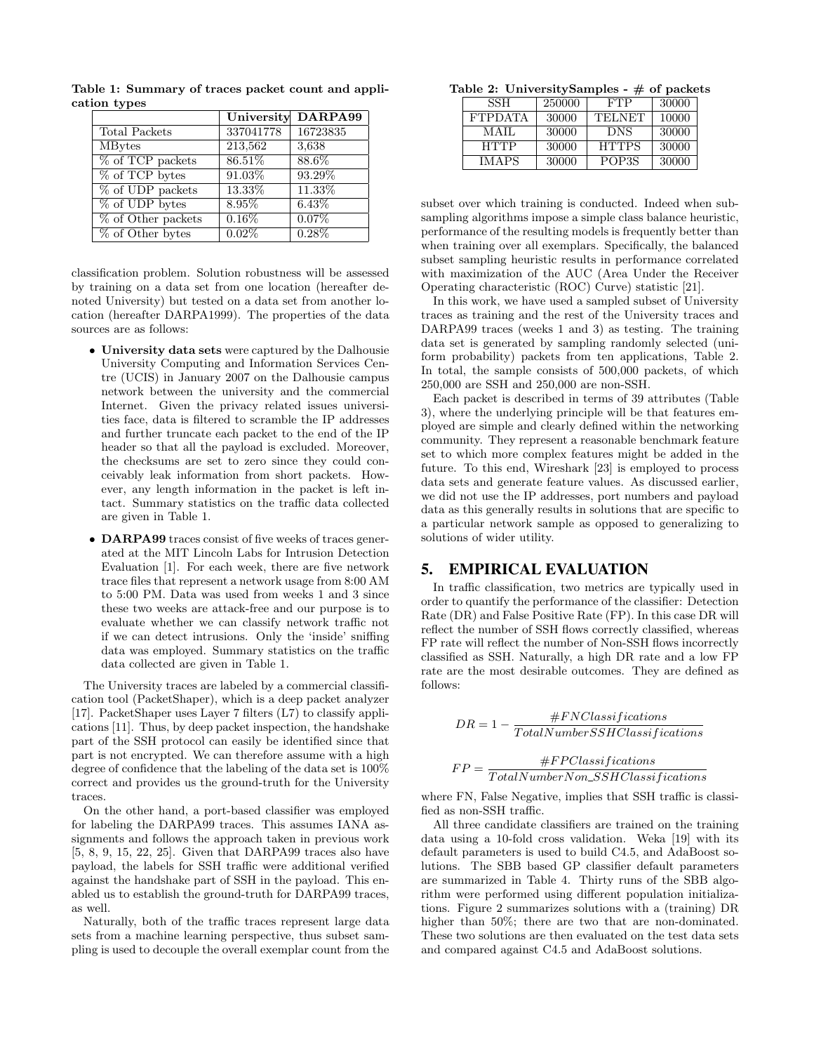|                      | University | DARPA99  |
|----------------------|------------|----------|
| <b>Total Packets</b> | 337041778  | 16723835 |
| <b>MB</b> ytes       | 213,562    | 3,638    |
| % of TCP packets     | 86.51%     | 88.6%    |
| % of TCP bytes       | 91.03%     | 93.29%   |
| $\%$ of UDP packets  | 13.33%     | 11.33%   |
| % of UDP bytes       | 8.95%      | 6.43%    |
| % of Other packets   | $0.16\%$   | 0.07%    |
| % of Other bytes     | 0.02%      | 0.28%    |

Table 1: Summary of traces packet count and application types

classification problem. Solution robustness will be assessed by training on a data set from one location (hereafter denoted University) but tested on a data set from another location (hereafter DARPA1999). The properties of the data sources are as follows:

- University data sets were captured by the Dalhousie University Computing and Information Services Centre (UCIS) in January 2007 on the Dalhousie campus network between the university and the commercial Internet. Given the privacy related issues universities face, data is filtered to scramble the IP addresses and further truncate each packet to the end of the IP header so that all the payload is excluded. Moreover, the checksums are set to zero since they could conceivably leak information from short packets. However, any length information in the packet is left intact. Summary statistics on the traffic data collected are given in Table 1.
- DARPA99 traces consist of five weeks of traces generated at the MIT Lincoln Labs for Intrusion Detection Evaluation [1]. For each week, there are five network trace files that represent a network usage from 8:00 AM to 5:00 PM. Data was used from weeks 1 and 3 since these two weeks are attack-free and our purpose is to evaluate whether we can classify network traffic not if we can detect intrusions. Only the 'inside' sniffing data was employed. Summary statistics on the traffic data collected are given in Table 1.

The University traces are labeled by a commercial classification tool (PacketShaper), which is a deep packet analyzer [17]. PacketShaper uses Layer 7 filters (L7) to classify applications [11]. Thus, by deep packet inspection, the handshake part of the SSH protocol can easily be identified since that part is not encrypted. We can therefore assume with a high degree of confidence that the labeling of the data set is 100% correct and provides us the ground-truth for the University traces.

On the other hand, a port-based classifier was employed for labeling the DARPA99 traces. This assumes IANA assignments and follows the approach taken in previous work [5, 8, 9, 15, 22, 25]. Given that DARPA99 traces also have payload, the labels for SSH traffic were additional verified against the handshake part of SSH in the payload. This enabled us to establish the ground-truth for DARPA99 traces, as well.

Naturally, both of the traffic traces represent large data sets from a machine learning perspective, thus subset sampling is used to decouple the overall exemplar count from the

Table 2: UniversitySamples -  $\#$  of packets

| SSH            | 250000 | FTP           | 30000 |
|----------------|--------|---------------|-------|
| <b>FTPDATA</b> | 30000  | <b>TELNET</b> | 10000 |
| MAIL           | 30000  | <b>DNS</b>    | 30000 |
| <b>HTTP</b>    | 30000  | <b>HTTPS</b>  | 30000 |
| IMAPS          | 30000  | POP3S         | 30000 |

subset over which training is conducted. Indeed when subsampling algorithms impose a simple class balance heuristic, performance of the resulting models is frequently better than when training over all exemplars. Specifically, the balanced subset sampling heuristic results in performance correlated with maximization of the AUC (Area Under the Receiver Operating characteristic (ROC) Curve) statistic [21].

In this work, we have used a sampled subset of University traces as training and the rest of the University traces and DARPA99 traces (weeks 1 and 3) as testing. The training data set is generated by sampling randomly selected (uniform probability) packets from ten applications, Table 2. In total, the sample consists of 500,000 packets, of which 250,000 are SSH and 250,000 are non-SSH.

Each packet is described in terms of 39 attributes (Table 3), where the underlying principle will be that features employed are simple and clearly defined within the networking community. They represent a reasonable benchmark feature set to which more complex features might be added in the future. To this end, Wireshark [23] is employed to process data sets and generate feature values. As discussed earlier, we did not use the IP addresses, port numbers and payload data as this generally results in solutions that are specific to a particular network sample as opposed to generalizing to solutions of wider utility.

#### 5. EMPIRICAL EVALUATION

In traffic classification, two metrics are typically used in order to quantify the performance of the classifier: Detection Rate (DR) and False Positive Rate (FP). In this case DR will reflect the number of SSH flows correctly classified, whereas FP rate will reflect the number of Non-SSH flows incorrectly classified as SSH. Naturally, a high DR rate and a low FP rate are the most desirable outcomes. They are defined as follows:

$$
DR = 1 - \frac {\#FNClassifications}{TotalNumber SSHClassifications}
$$

$$
FP = \frac {\# FPC lassifications} {Total NumberNon\_SSHC lassifications}
$$

where FN, False Negative, implies that SSH traffic is classified as non-SSH traffic.

All three candidate classifiers are trained on the training data using a 10-fold cross validation. Weka [19] with its default parameters is used to build C4.5, and AdaBoost solutions. The SBB based GP classifier default parameters are summarized in Table 4. Thirty runs of the SBB algorithm were performed using different population initializations. Figure 2 summarizes solutions with a (training) DR higher than 50%; there are two that are non-dominated. These two solutions are then evaluated on the test data sets and compared against C4.5 and AdaBoost solutions.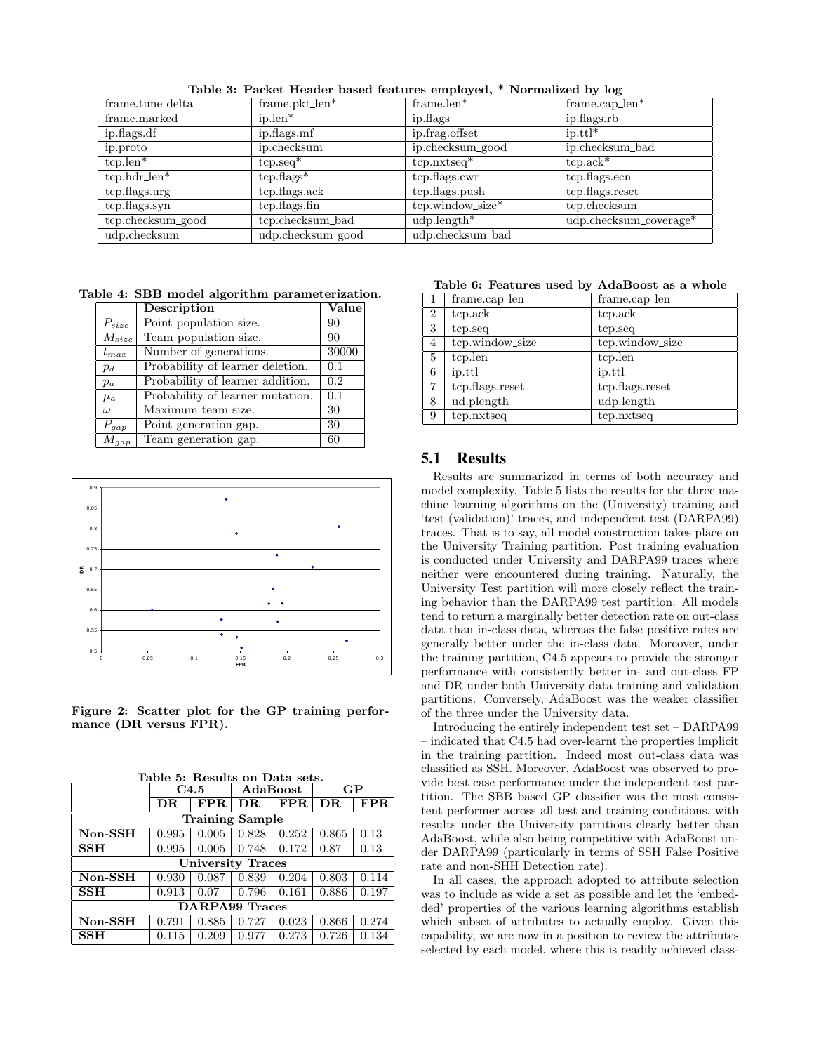| frame.time delta  | $frame. pk len*$     | $frame.length*$  | $frame.cap\_len*$                |
|-------------------|----------------------|------------------|----------------------------------|
| frame.marked      | $ip.length*$         | ip.flags         | ip.flags.rb                      |
| ip.flags.df       | ip.flags.mf          | ip.frag.offset   | $ip.ttl*$                        |
| ip.proto          | ip.checksum          | ip.checksum_good | ip.checksum_bad                  |
| $tcp.length*$     | $tcp.seq*$           | $top.nxtseq*$    | $tcp.ack^*$                      |
| $tcp.hdr_llen*$   | $tcp.\text{flags}^*$ | tcp.flags.cwr    | tcp.flags.ecn                    |
| tcp.flags.urg     | $tep$ . flags. ack   | tcp.flags.push   | tcp.flags.reset                  |
| tcp.flags.syn     | $tcp$ . flags. fin   | tcp.window_size* | tcp.checksum                     |
| tcp.checksum_good | tcp.checksum_bad     | $udp.length*$    | $\text{udp.}$ checksum_coverage* |
| udp.checksum      | udp.checksum_good    | udp.checksum_bad |                                  |

Table 3: Packet Header based features employed, \* Normalized by log

Table 4: SBB model algorithm parameterization.

|                      | Description                      | Value |
|----------------------|----------------------------------|-------|
| $P_{size}$           | Point population size.           | 90    |
| $M_{size}$           | Team population size.            | 90    |
| $t_{max}$            | Number of generations.           | 30000 |
| $p_d$                | Probability of learner deletion. | 0.1   |
| $p_a$                | Probability of learner addition. | 0.2   |
| $\mu_a$              | Probability of learner mutation. | 0.1   |
| $\omega$             | Maximum team size.               | 30    |
| $P_{gap}$            | Point generation gap.            | 30    |
| $\overline{M}_{gap}$ | Team generation gap.             | 60    |



Figure 2: Scatter plot for the GP training performance (DR versus FPR).

| Table 5: Results on Data sets. |       |                          |             |       |             |       |
|--------------------------------|-------|--------------------------|-------------|-------|-------------|-------|
|                                | C4.5  |                          | AdaBoost    |       | $_{\rm GP}$ |       |
|                                | DR.   | $_{\rm FPR}$             | $_{\rm DR}$ | FPR   | $_{\rm DR}$ | FPR.  |
|                                |       | <b>Training Sample</b>   |             |       |             |       |
| Non-SSH                        | 0.995 | 0.005                    | 0.828       | 0.252 | 0.865       | 0.13  |
| <b>SSH</b>                     | 0.995 | 0.005                    | 0.748       | 0.172 | 0.87        | 0.13  |
|                                |       | <b>University Traces</b> |             |       |             |       |
| Non-SSH                        | 0.930 | 0.087                    | 0.839       | 0.204 | 0.803       | 0.114 |
| <b>SSH</b>                     | 0.913 | 0.07                     | 0.796       | 0.161 | 0.886       | 0.197 |
| DARPA99 Traces                 |       |                          |             |       |             |       |
| $Non-SSH$                      | 0.791 | 0.885                    | 0.727       | 0.023 | 0.866       | 0.274 |
| SSH                            | 0.115 | 0.209                    | 0.977       | 0.273 | 0.726       | 0.134 |

Table 6: Features used by AdaBoost as a whole

| 1              | frame.cap_len                        | frame.cap_len   |
|----------------|--------------------------------------|-----------------|
| 2              | tcp.ack                              | tcp.ack         |
| 3              | tcp.seq                              | tcp.seq         |
| $\overline{4}$ | tcp.window_size                      | tcp.window_size |
| 5              | tcp.len                              | tcp.len         |
| 6              | ip.ttl                               | ip.ttl          |
| $\overline{7}$ | $\overline{\text{top}}$ .flags.reset | tcp.flags.reset |
| 8              | ud.plength                           | udp.length      |
| 9              | tcp.nxtseq                           | tcp.nxtseq      |

# 5.1 Results

Results are summarized in terms of both accuracy and model complexity. Table 5 lists the results for the three machine learning algorithms on the (University) training and 'test (validation)' traces, and independent test (DARPA99) traces. That is to say, all model construction takes place on the University Training partition. Post training evaluation is conducted under University and DARPA99 traces where neither were encountered during training. Naturally, the University Test partition will more closely reflect the training behavior than the DARPA99 test partition. All models tend to return a marginally better detection rate on out-class data than in-class data, whereas the false positive rates are generally better under the in-class data. Moreover, under the training partition, C4.5 appears to provide the stronger performance with consistently better in- and out-class FP and DR under both University data training and validation partitions. Conversely, AdaBoost was the weaker classifier of the three under the University data.

Introducing the entirely independent test set – DARPA99 – indicated that C4.5 had over-learnt the properties implicit in the training partition. Indeed most out-class data was classified as SSH. Moreover, AdaBoost was observed to provide best case performance under the independent test partition. The SBB based GP classifier was the most consistent performer across all test and training conditions, with results under the University partitions clearly better than AdaBoost, while also being competitive with AdaBoost under DARPA99 (particularly in terms of SSH False Positive rate and non-SHH Detection rate).

In all cases, the approach adopted to attribute selection was to include as wide a set as possible and let the 'embedded' properties of the various learning algorithms establish which subset of attributes to actually employ. Given this capability, we are now in a position to review the attributes selected by each model, where this is readily achieved class-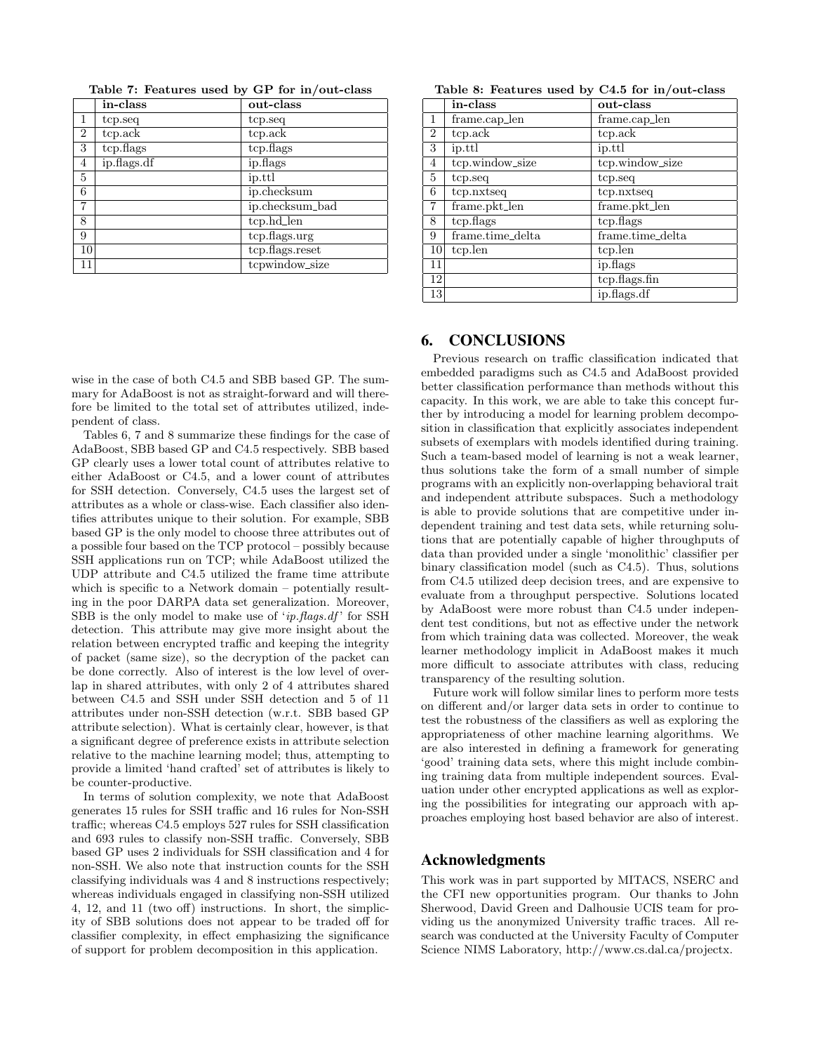Table 7: Features used by GP for in/out-class

|                | in-class    | out-class              |
|----------------|-------------|------------------------|
| $\mathbf{1}$   | tcp.seq     | tcp.seq                |
| $\overline{2}$ | tcp.ack     | tcp.ack                |
| 3              | tcp.flags   | tcp.flags              |
| $\overline{4}$ | ip.flags.df | $\overline{ip}.$ flags |
| 5              |             | ip.ttl                 |
| 6              |             | ip.checksum            |
| $\overline{7}$ |             | ip.checksum_bad        |
| 8              |             | tcp.hd_len             |
| 9              |             | tcp.flags.urg          |
| 10             |             | tcp.flags.reset        |
| 11             |             | tcpwindow_size         |

wise in the case of both C4.5 and SBB based GP. The summary for AdaBoost is not as straight-forward and will therefore be limited to the total set of attributes utilized, independent of class.

Tables 6, 7 and 8 summarize these findings for the case of AdaBoost, SBB based GP and C4.5 respectively. SBB based GP clearly uses a lower total count of attributes relative to either AdaBoost or C4.5, and a lower count of attributes for SSH detection. Conversely, C4.5 uses the largest set of attributes as a whole or class-wise. Each classifier also identifies attributes unique to their solution. For example, SBB based GP is the only model to choose three attributes out of a possible four based on the TCP protocol – possibly because SSH applications run on TCP; while AdaBoost utilized the UDP attribute and C4.5 utilized the frame time attribute which is specific to a Network domain – potentially resulting in the poor DARPA data set generalization. Moreover, SBB is the only model to make use of  $ip\$ ggs.df ' for SSH detection. This attribute may give more insight about the relation between encrypted traffic and keeping the integrity of packet (same size), so the decryption of the packet can be done correctly. Also of interest is the low level of overlap in shared attributes, with only 2 of 4 attributes shared between C4.5 and SSH under SSH detection and 5 of 11 attributes under non-SSH detection (w.r.t. SBB based GP attribute selection). What is certainly clear, however, is that a significant degree of preference exists in attribute selection relative to the machine learning model; thus, attempting to provide a limited 'hand crafted' set of attributes is likely to be counter-productive.

In terms of solution complexity, we note that AdaBoost generates 15 rules for SSH traffic and 16 rules for Non-SSH traffic; whereas C4.5 employs 527 rules for SSH classification and 693 rules to classify non-SSH traffic. Conversely, SBB based GP uses 2 individuals for SSH classification and 4 for non-SSH. We also note that instruction counts for the SSH classifying individuals was 4 and 8 instructions respectively; whereas individuals engaged in classifying non-SSH utilized 4, 12, and 11 (two off) instructions. In short, the simplicity of SBB solutions does not appear to be traded off for classifier complexity, in effect emphasizing the significance of support for problem decomposition in this application.

Table 8: Features used by C4.5 for in/out-class

|                 | in-class         | out-class        |
|-----------------|------------------|------------------|
| 1               | frame.cap_len    | frame.cap_len    |
| $\overline{2}$  | tcp.ack          | tcp.ack          |
| 3               | ip.ttl           | ip.ttl           |
| 4               | tcp.window_size  | tcp.window_size  |
| 5               | tcp.seq          | tcp.seq          |
| 6               | tcp.nxtseq       | tcp.nxtseq       |
| 7               | frame.pkt_len    | frame.pkt_len    |
| 8               | tcp.flags        | tcp.flags        |
| 9               | frame.time_delta | frame.time_delta |
| 10 <sup>1</sup> | tcp.len          | tcp.len          |
| 11              |                  | ip.flags         |
| 12              |                  | tcp.flags.fin    |
| 13              |                  | ip.flags.df      |

# 6. CONCLUSIONS

Previous research on traffic classification indicated that embedded paradigms such as C4.5 and AdaBoost provided better classification performance than methods without this capacity. In this work, we are able to take this concept further by introducing a model for learning problem decomposition in classification that explicitly associates independent subsets of exemplars with models identified during training. Such a team-based model of learning is not a weak learner, thus solutions take the form of a small number of simple programs with an explicitly non-overlapping behavioral trait and independent attribute subspaces. Such a methodology is able to provide solutions that are competitive under independent training and test data sets, while returning solutions that are potentially capable of higher throughputs of data than provided under a single 'monolithic' classifier per binary classification model (such as C4.5). Thus, solutions from C4.5 utilized deep decision trees, and are expensive to evaluate from a throughput perspective. Solutions located by AdaBoost were more robust than C4.5 under independent test conditions, but not as effective under the network from which training data was collected. Moreover, the weak learner methodology implicit in AdaBoost makes it much more difficult to associate attributes with class, reducing transparency of the resulting solution.

Future work will follow similar lines to perform more tests on different and/or larger data sets in order to continue to test the robustness of the classifiers as well as exploring the appropriateness of other machine learning algorithms. We are also interested in defining a framework for generating 'good' training data sets, where this might include combining training data from multiple independent sources. Evaluation under other encrypted applications as well as exploring the possibilities for integrating our approach with approaches employing host based behavior are also of interest.

#### Acknowledgments

This work was in part supported by MITACS, NSERC and the CFI new opportunities program. Our thanks to John Sherwood, David Green and Dalhousie UCIS team for providing us the anonymized University traffic traces. All research was conducted at the University Faculty of Computer Science NIMS Laboratory, http://www.cs.dal.ca/projectx.